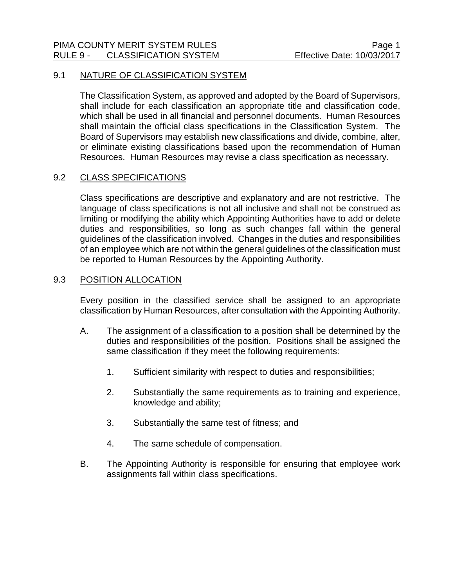## 9.1 NATURE OF CLASSIFICATION SYSTEM

The Classification System, as approved and adopted by the Board of Supervisors, shall include for each classification an appropriate title and classification code, which shall be used in all financial and personnel documents. Human Resources shall maintain the official class specifications in the Classification System. The Board of Supervisors may establish new classifications and divide, combine, alter, or eliminate existing classifications based upon the recommendation of Human Resources. Human Resources may revise a class specification as necessary.

## 9.2 CLASS SPECIFICATIONS

Class specifications are descriptive and explanatory and are not restrictive. The language of class specifications is not all inclusive and shall not be construed as limiting or modifying the ability which Appointing Authorities have to add or delete duties and responsibilities, so long as such changes fall within the general guidelines of the classification involved. Changes in the duties and responsibilities of an employee which are not within the general guidelines of the classification must be reported to Human Resources by the Appointing Authority.

## 9.3 POSITION ALLOCATION

Every position in the classified service shall be assigned to an appropriate classification by Human Resources, after consultation with the Appointing Authority.

- A. The assignment of a classification to a position shall be determined by the duties and responsibilities of the position. Positions shall be assigned the same classification if they meet the following requirements:
	- 1. Sufficient similarity with respect to duties and responsibilities;
	- 2. Substantially the same requirements as to training and experience, knowledge and ability;
	- 3. Substantially the same test of fitness; and
	- 4. The same schedule of compensation.
- B. The Appointing Authority is responsible for ensuring that employee work assignments fall within class specifications.